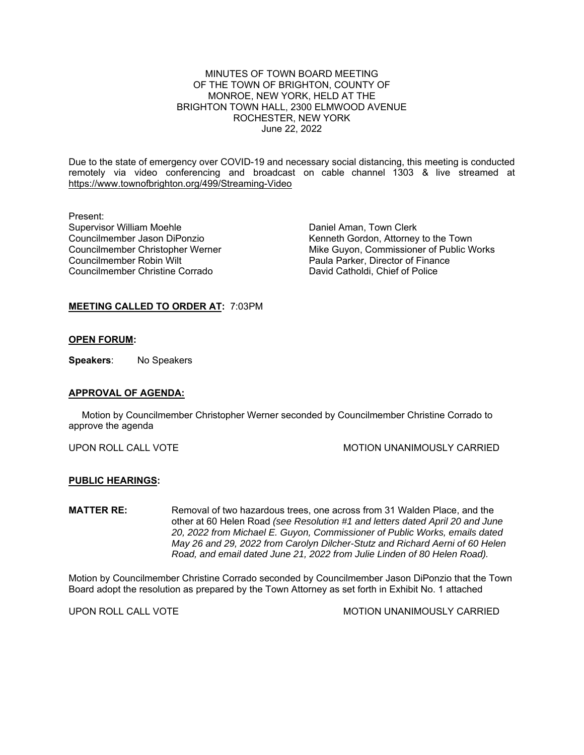MINUTES OF TOWN BOARD MEETING OF THE TOWN OF BRIGHTON, COUNTY OF MONROE, NEW YORK, HELD AT THE BRIGHTON TOWN HALL, 2300 ELMWOOD AVENUE ROCHESTER, NEW YORK June 22, 2022

Due to the state of emergency over COVID-19 and necessary social distancing, this meeting is conducted remotely via video conferencing and broadcast on cable channel 1303 & live streamed at https://www.townofbrighton.org/499/Streaming-Video

Present:<br>Supervisor William Moehle Councilmember Robin Wilt<br>
Councilmember Christine Corrado<br>
David Catholdi, Chief of Police Councilmember Christine Corrado

Daniel Aman, Town Clerk Councilmember Jason DiPonzio Kenneth Gordon, Attorney to the Town Councilmember Christopher Werner Mike Guyon, Commissioner of Public Works

## **MEETING CALLED TO ORDER AT:** 7:03PM

#### **OPEN FORUM:**

**Speakers**: No Speakers

### **APPROVAL OF AGENDA:**

 Motion by Councilmember Christopher Werner seconded by Councilmember Christine Corrado to approve the agenda

UPON ROLL CALL VOTE **MOTION UNANIMOUSLY CARRIED** 

### **PUBLIC HEARINGS:**

**MATTER RE:** Removal of two hazardous trees, one across from 31 Walden Place, and the other at 60 Helen Road *(see Resolution #1 and letters dated April 20 and June 20, 2022 from Michael E. Guyon, Commissioner of Public Works, emails dated May 26 and 29, 2022 from Carolyn Dilcher-Stutz and Richard Aerni of 60 Helen Road, and email dated June 21, 2022 from Julie Linden of 80 Helen Road).* 

Motion by Councilmember Christine Corrado seconded by Councilmember Jason DiPonzio that the Town Board adopt the resolution as prepared by the Town Attorney as set forth in Exhibit No. 1 attached

UPON ROLL CALL VOTE **MOTION UNANIMOUSLY CARRIED**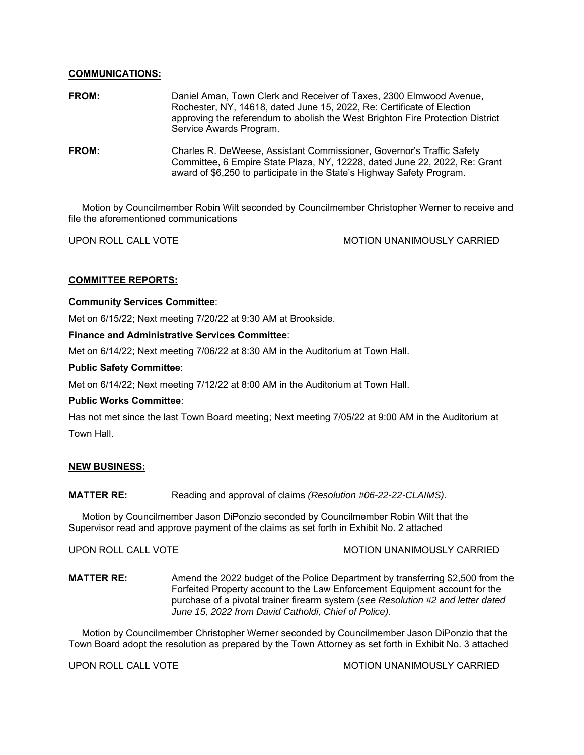## **COMMUNICATIONS:**

| FROM: | Daniel Aman, Town Clerk and Receiver of Taxes, 2300 Elmwood Avenue,<br>Rochester, NY, 14618, dated June 15, 2022, Re: Certificate of Election<br>approving the referendum to abolish the West Brighton Fire Protection District<br>Service Awards Program. |
|-------|------------------------------------------------------------------------------------------------------------------------------------------------------------------------------------------------------------------------------------------------------------|
| FROM: | Charles R. DeWeese, Assistant Commissioner, Governor's Traffic Safety<br>Committee, 6 Empire State Plaza, NY, 12228, dated June 22, 2022, Re: Grant<br>award of \$6,250 to participate in the State's Highway Safety Program.                              |

 Motion by Councilmember Robin Wilt seconded by Councilmember Christopher Werner to receive and file the aforementioned communications

UPON ROLL CALL VOTE **MOTION UNANIMOUSLY CARRIED** 

## **COMMITTEE REPORTS:**

### **Community Services Committee**:

Met on 6/15/22; Next meeting 7/20/22 at 9:30 AM at Brookside.

## **Finance and Administrative Services Committee**:

Met on 6/14/22; Next meeting 7/06/22 at 8:30 AM in the Auditorium at Town Hall.

## **Public Safety Committee**:

Met on 6/14/22; Next meeting 7/12/22 at 8:00 AM in the Auditorium at Town Hall.

### **Public Works Committee**:

Has not met since the last Town Board meeting; Next meeting 7/05/22 at 9:00 AM in the Auditorium at Town Hall.

# **NEW BUSINESS:**

### **MATTER RE:** Reading and approval of claims *(Resolution #06-22-22-CLAIMS).*

 Motion by Councilmember Jason DiPonzio seconded by Councilmember Robin Wilt that the Supervisor read and approve payment of the claims as set forth in Exhibit No. 2 attached

UPON ROLL CALL VOTE **MOTION UNANIMOUSLY CARRIED** 

**MATTER RE:** Amend the 2022 budget of the Police Department by transferring \$2,500 from the Forfeited Property account to the Law Enforcement Equipment account for the purchase of a pivotal trainer firearm system (*see Resolution #2 and letter dated June 15, 2022 from David Catholdi, Chief of Police).* 

 Motion by Councilmember Christopher Werner seconded by Councilmember Jason DiPonzio that the Town Board adopt the resolution as prepared by the Town Attorney as set forth in Exhibit No. 3 attached

UPON ROLL CALL VOTE **MOTION UNANIMOUSLY CARRIED**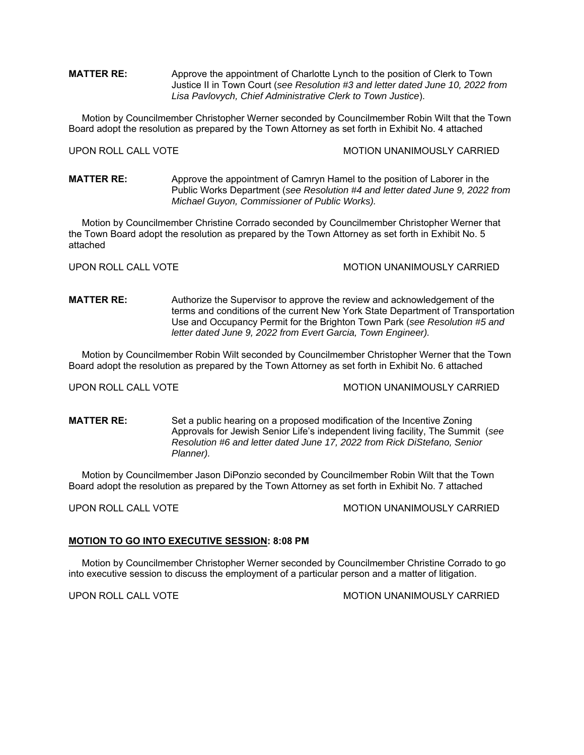**MATTER RE:** Approve the appointment of Charlotte Lynch to the position of Clerk to Town Justice II in Town Court (*see Resolution #3 and letter dated June 10, 2022 from Lisa Pavlovych, Chief Administrative Clerk to Town Justice*).

 Motion by Councilmember Christopher Werner seconded by Councilmember Robin Wilt that the Town Board adopt the resolution as prepared by the Town Attorney as set forth in Exhibit No. 4 attached

UPON ROLL CALL VOTE **MOTION UNANIMOUSLY CARRIED** 

**MATTER RE:** Approve the appointment of Camryn Hamel to the position of Laborer in the Public Works Department (*see Resolution #4 and letter dated June 9, 2022 from Michael Guyon, Commissioner of Public Works).* 

 Motion by Councilmember Christine Corrado seconded by Councilmember Christopher Werner that the Town Board adopt the resolution as prepared by the Town Attorney as set forth in Exhibit No. 5 attached

UPON ROLL CALL VOTE **MOTION UNANIMOUSLY CARRIED** 

**MATTER RE:** Authorize the Supervisor to approve the review and acknowledgement of the terms and conditions of the current New York State Department of Transportation Use and Occupancy Permit for the Brighton Town Park (*see Resolution #5 and letter dated June 9, 2022 from Evert Garcia, Town Engineer).* 

 Motion by Councilmember Robin Wilt seconded by Councilmember Christopher Werner that the Town Board adopt the resolution as prepared by the Town Attorney as set forth in Exhibit No. 6 attached

UPON ROLL CALL VOTE **MOTION UNANIMOUSLY CARRIED** 

**MATTER RE:** Set a public hearing on a proposed modification of the Incentive Zoning Approvals for Jewish Senior Life's independent living facility, The Summit (*see Resolution #6 and letter dated June 17, 2022 from Rick DiStefano, Senior Planner).* 

 Motion by Councilmember Jason DiPonzio seconded by Councilmember Robin Wilt that the Town Board adopt the resolution as prepared by the Town Attorney as set forth in Exhibit No. 7 attached

UPON ROLL CALL VOTE **MOTION UNANIMOUSLY CARRIED** 

#### **MOTION TO GO INTO EXECUTIVE SESSION: 8:08 PM**

 Motion by Councilmember Christopher Werner seconded by Councilmember Christine Corrado to go into executive session to discuss the employment of a particular person and a matter of litigation.

UPON ROLL CALL VOTE **MOTION UNANIMOUSLY CARRIED**